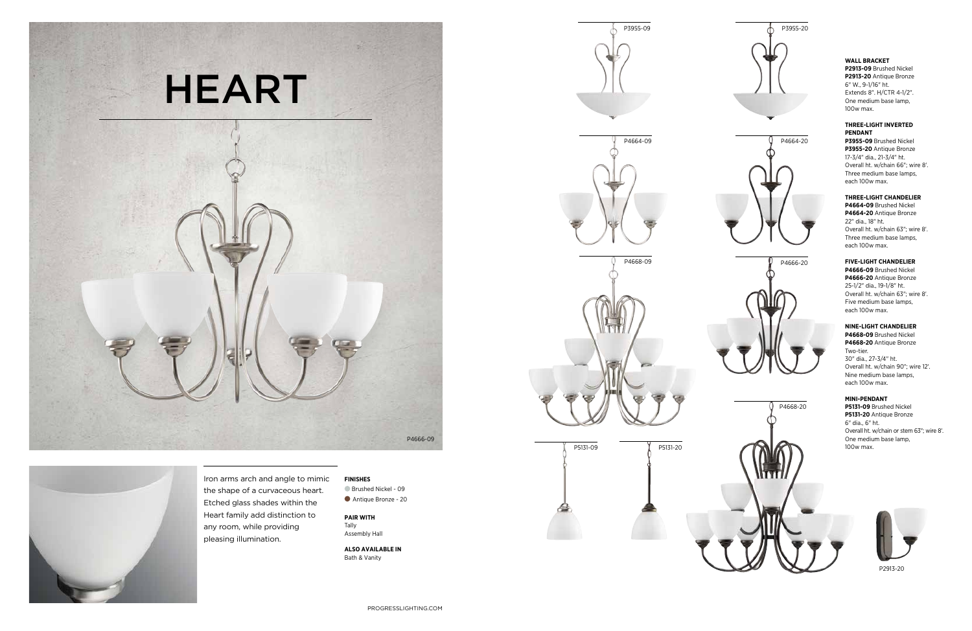**P4666-09** Brushed Nickel **P4666-20** Antique Bronze 25-1/2" dia., 19-1/8" ht. Overall ht. w/chain 63"; wire 8'. Five medium base lamps, each 100w max.

# **THREE-LIGHT CHANDELIER**

**P4664-09** Brushed Nickel **P4664-20** Antique Bronze 22" dia., 18" ht. Overall ht. w/chain 63"; wire 8'. Three medium base lamps, each 100w max.

Iron arms arch and angle to mimic the shape of a curvaceous heart. Etched glass shades within the Heart family add distinction to any room, while providing pleasing illumination.



Brushed Nickel - 09 Antique Bronze - 20

#### **THREE-LIGHT INVERTED PENDANT**



**P3955-09** Brushed Nickel **P3955-20** Antique Bronze 17-3/4" dia., 21-3/4" ht. Overall ht. w/chain 66"; wire 8'. Three medium base lamps, each 100w max.

# **MINI-PENDANT**

**P5131-09** Brushed Nickel **P5131-20** Antique Bronze 6" dia., 6" ht. Overall ht. w/chain or stem 63"; wire 8'. One medium base lamp,

# **FINISHES**





**PAIR WITH** Tally

Assembly Hall

**ALSO AVAILABLE IN** Bath & Vanity

# **NINE-LIGHT CHANDELIER**

**P4668-09** Brushed Nickel **P4668-20** Antique Bronze Two-tier. 30" dia., 27-3/4" ht. Overall ht. w/chain 90"; wire 12'. Nine medium base lamps, each 100w max.

# **WALL BRACKET**

**P2913-09** Brushed Nickel **P2913-20** Antique Bronze 6" W., 9-1/16" ht. Extends 8". H/CTR 4-1/2". One medium base lamp, 100w max.